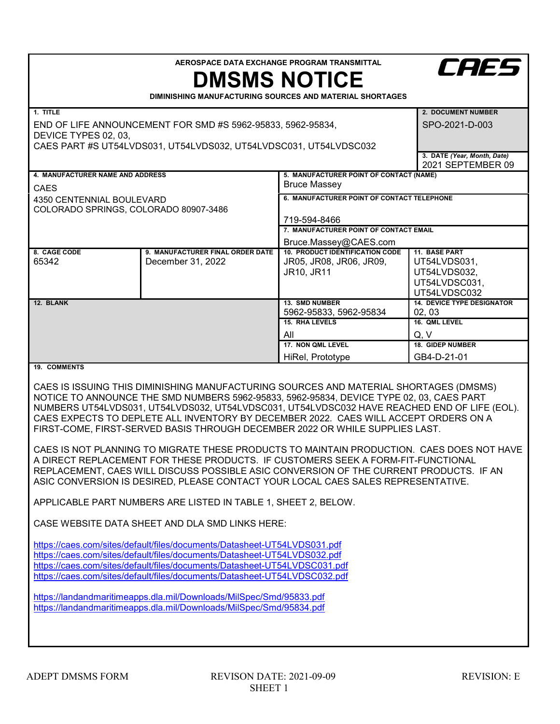| AEROSPACE DATA EXCHANGE PROGRAM TRANSMITTAL<br><b>CAES</b><br><b>DMSMS NOTICE</b><br>DIMINISHING MANUFACTURING SOURCES AND MATERIAL SHORTAGES                                                                                                                                                                                                                                                                                                                                                                                                                                                                                                                                                                                                                                                                                                                                                                                                                                                                                                                                                                                                                                                                                                                                                                                                                                                                                 |                                                       |                                                                                                                                                                                                 |                                                                                                                |  |
|-------------------------------------------------------------------------------------------------------------------------------------------------------------------------------------------------------------------------------------------------------------------------------------------------------------------------------------------------------------------------------------------------------------------------------------------------------------------------------------------------------------------------------------------------------------------------------------------------------------------------------------------------------------------------------------------------------------------------------------------------------------------------------------------------------------------------------------------------------------------------------------------------------------------------------------------------------------------------------------------------------------------------------------------------------------------------------------------------------------------------------------------------------------------------------------------------------------------------------------------------------------------------------------------------------------------------------------------------------------------------------------------------------------------------------|-------------------------------------------------------|-------------------------------------------------------------------------------------------------------------------------------------------------------------------------------------------------|----------------------------------------------------------------------------------------------------------------|--|
| 1. TITLE<br>END OF LIFE ANNOUNCEMENT FOR SMD #S 5962-95833, 5962-95834,<br>DEVICE TYPES 02, 03,<br>CAES PART #S UT54LVDS031, UT54LVDS032, UT54LVDSC031, UT54LVDSC032                                                                                                                                                                                                                                                                                                                                                                                                                                                                                                                                                                                                                                                                                                                                                                                                                                                                                                                                                                                                                                                                                                                                                                                                                                                          |                                                       |                                                                                                                                                                                                 | 2. DOCUMENT NUMBER<br>SPO-2021-D-003<br>3. DATE (Year, Month, Date)<br>2021 SEPTEMBER 09                       |  |
| 4. MANUFACTURER NAME AND ADDRESS<br><b>CAES</b><br>4350 CENTENNIAL BOULEVARD<br>COLORADO SPRINGS, COLORADO 80907-3486                                                                                                                                                                                                                                                                                                                                                                                                                                                                                                                                                                                                                                                                                                                                                                                                                                                                                                                                                                                                                                                                                                                                                                                                                                                                                                         |                                                       | 5. MANUFACTURER POINT OF CONTACT (NAME)<br><b>Bruce Massey</b><br>6. MANUFACTURER POINT OF CONTACT TELEPHONE<br>719-594-8466<br>7. MANUFACTURER POINT OF CONTACT EMAIL<br>Bruce.Massey@CAES.com |                                                                                                                |  |
| 8. CAGE CODE<br>65342                                                                                                                                                                                                                                                                                                                                                                                                                                                                                                                                                                                                                                                                                                                                                                                                                                                                                                                                                                                                                                                                                                                                                                                                                                                                                                                                                                                                         | 9. MANUFACTURER FINAL ORDER DATE<br>December 31, 2022 | <b>10. PRODUCT IDENTIFICATION CODE</b><br>JR05, JR08, JR06, JR09,<br>JR10, JR11                                                                                                                 | 11. BASE PART<br>UT54LVDS031,<br>UT54LVDS032,<br>UT54LVDSC031,<br>UT54LVDSC032                                 |  |
| 12. BLANK                                                                                                                                                                                                                                                                                                                                                                                                                                                                                                                                                                                                                                                                                                                                                                                                                                                                                                                                                                                                                                                                                                                                                                                                                                                                                                                                                                                                                     |                                                       | 13. SMD NUMBER<br>5962-95833, 5962-95834<br><b>15. RHA LEVELS</b><br>All<br>17. NON QML LEVEL<br>HiRel, Prototype                                                                               | <b>14. DEVICE TYPE DESIGNATOR</b><br>02, 03<br>16. QML LEVEL<br>Q, V<br><b>18. GIDEP NUMBER</b><br>GB4-D-21-01 |  |
| 19. COMMENTS<br>CAES IS ISSUING THIS DIMINISHING MANUFACTURING SOURCES AND MATERIAL SHORTAGES (DMSMS)<br>NOTICE TO ANNOUNCE THE SMD NUMBERS 5962-95833, 5962-95834, DEVICE TYPE 02, 03, CAES PART<br>NUMBERS UT54LVDS031, UT54LVDS032, UT54LVDSC031, UT54LVDSC032 HAVE REACHED END OF LIFE (EOL).<br>CAES EXPECTS TO DEPLETE ALL INVENTORY BY DECEMBER 2022. CAES WILL ACCEPT ORDERS ON A<br>FIRST-COME, FIRST-SERVED BASIS THROUGH DECEMBER 2022 OR WHILE SUPPLIES LAST.<br>CAES IS NOT PLANNING TO MIGRATE THESE PRODUCTS TO MAINTAIN PRODUCTION. CAES DOES NOT HAVE<br>A DIRECT REPLACEMENT FOR THESE PRODUCTS. IF CUSTOMERS SEEK A FORM-FIT-FUNCTIONAL<br>REPLACEMENT, CAES WILL DISCUSS POSSIBLE ASIC CONVERSION OF THE CURRENT PRODUCTS. IF AN<br>ASIC CONVERSION IS DESIRED, PLEASE CONTACT YOUR LOCAL CAES SALES REPRESENTATIVE.<br>APPLICABLE PART NUMBERS ARE LISTED IN TABLE 1, SHEET 2, BELOW.<br>CASE WEBSITE DATA SHEET AND DLA SMD LINKS HERE:<br>https://caes.com/sites/default/files/documents/Datasheet-UT54LVDS031.pdf<br>https://caes.com/sites/default/files/documents/Datasheet-UT54LVDS032.pdf<br>https://caes.com/sites/default/files/documents/Datasheet-UT54LVDSC031.pdf<br>https://caes.com/sites/default/files/documents/Datasheet-UT54LVDSC032.pdf<br>https://landandmaritimeapps.dla.mil/Downloads/MilSpec/Smd/95833.pdf<br>https://landandmaritimeapps.dla.mil/Downloads/MilSpec/Smd/95834.pdf |                                                       |                                                                                                                                                                                                 |                                                                                                                |  |